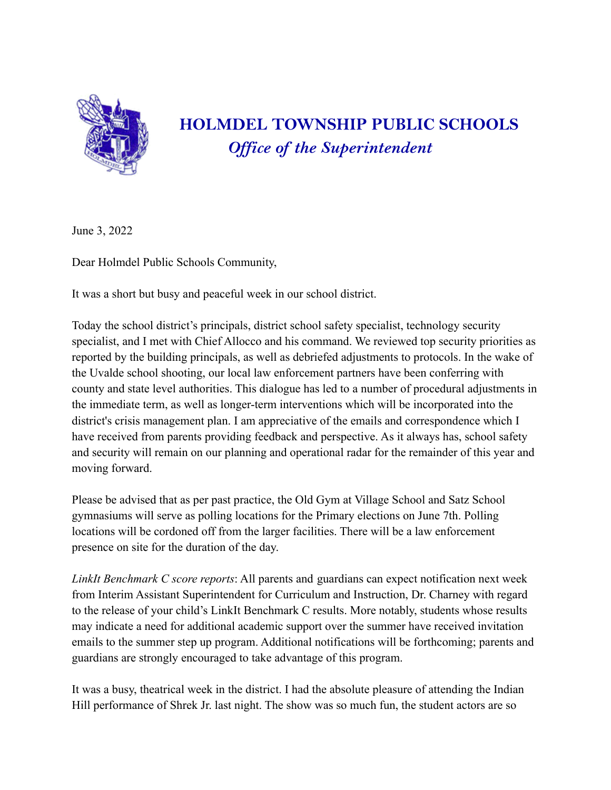

## **HOLMDEL TOWNSHIP PUBLIC SCHOOLS** *Of ice of the Superintendent*

June 3, 2022

Dear Holmdel Public Schools Community,

It was a short but busy and peaceful week in our school district.

Today the school district's principals, district school safety specialist, technology security specialist, and I met with Chief Allocco and his command. We reviewed top security priorities as reported by the building principals, as well as debriefed adjustments to protocols. In the wake of the Uvalde school shooting, our local law enforcement partners have been conferring with county and state level authorities. This dialogue has led to a number of procedural adjustments in the immediate term, as well as longer-term interventions which will be incorporated into the district's crisis management plan. I am appreciative of the emails and correspondence which I have received from parents providing feedback and perspective. As it always has, school safety and security will remain on our planning and operational radar for the remainder of this year and moving forward.

Please be advised that as per past practice, the Old Gym at Village School and Satz School gymnasiums will serve as polling locations for the Primary elections on June 7th. Polling locations will be cordoned off from the larger facilities. There will be a law enforcement presence on site for the duration of the day.

*LinkIt Benchmark C score reports*: All parents and guardians can expect notification next week from Interim Assistant Superintendent for Curriculum and Instruction, Dr. Charney with regard to the release of your child's LinkIt Benchmark C results. More notably, students whose results may indicate a need for additional academic support over the summer have received invitation emails to the summer step up program. Additional notifications will be forthcoming; parents and guardians are strongly encouraged to take advantage of this program.

It was a busy, theatrical week in the district. I had the absolute pleasure of attending the Indian Hill performance of Shrek Jr. last night. The show was so much fun, the student actors are so